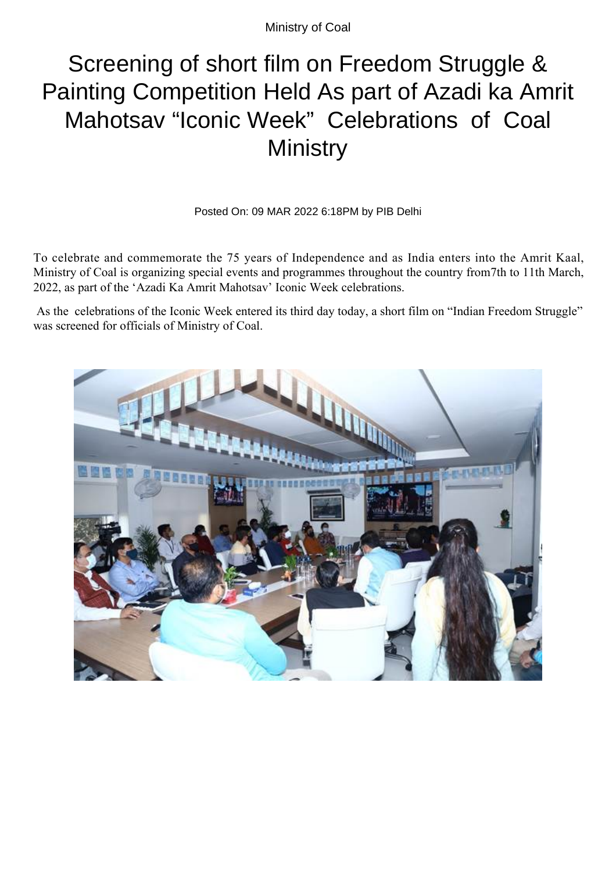Ministry of Coal

## Screening of short film on Freedom Struggle & Painting Competition Held As part of Azadi ka Amrit Mahotsav "Iconic Week" Celebrations of Coal **Ministry**

Posted On: 09 MAR 2022 6:18PM by PIB Delhi

To celebrate and commemorate the 75 years of Independence and as India enters into the Amrit Kaal, Ministry of Coal is organizing special events and programmes throughout the country from7th to 11th March, 2022, as part of the 'Azadi Ka Amrit Mahotsav' Iconic Week celebrations.

 As the celebrations of the Iconic Week entered its third day today, a short film on "Indian Freedom Struggle" was screened for officials of Ministry of Coal.

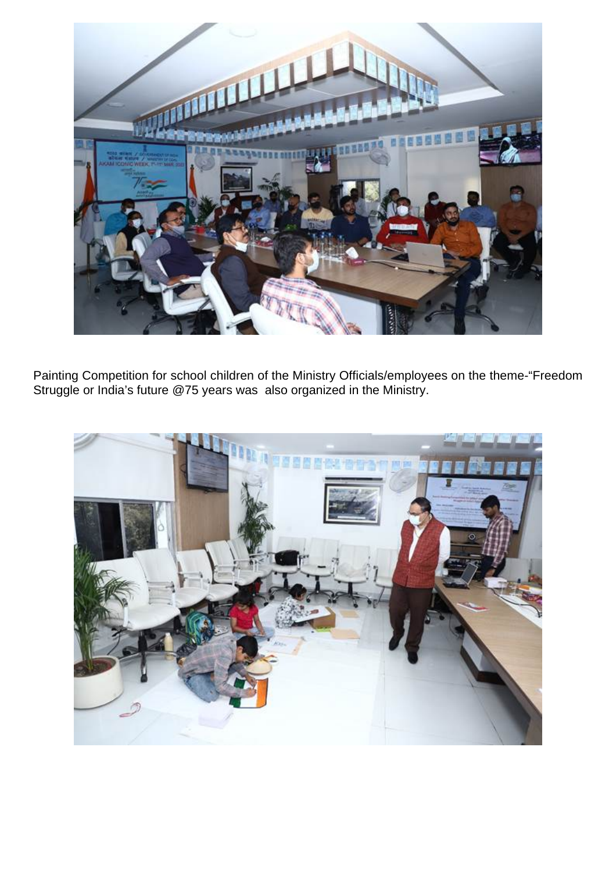

Painting Competition for school children of the Ministry Officials/employees on the theme-"Freedom Struggle or India's future @75 years was also organized in the Ministry.

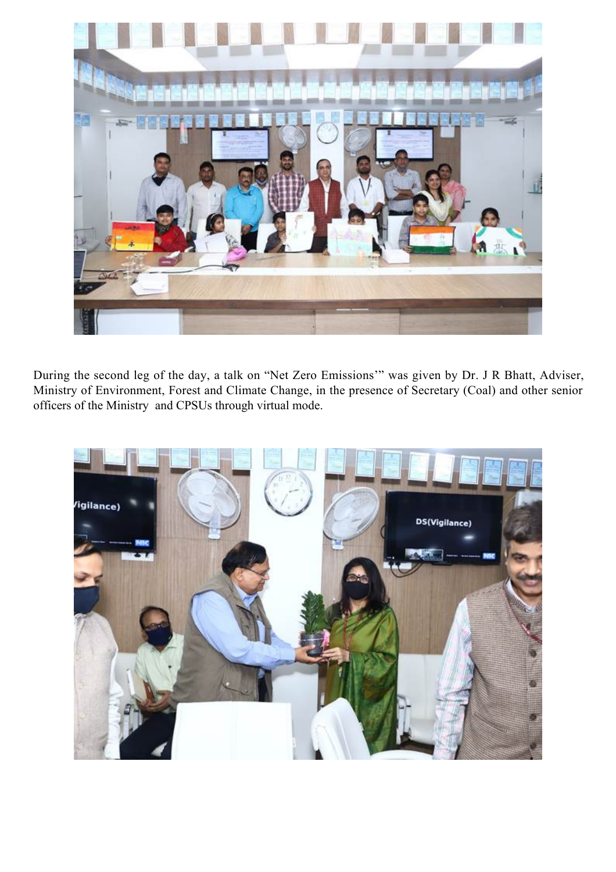

During the second leg of the day, a talk on "Net Zero Emissions'" was given by Dr. J R Bhatt, Adviser, Ministry of Environment, Forest and Climate Change, in the presence of Secretary (Coal) and other senior officers of the Ministry and CPSUs through virtual mode.